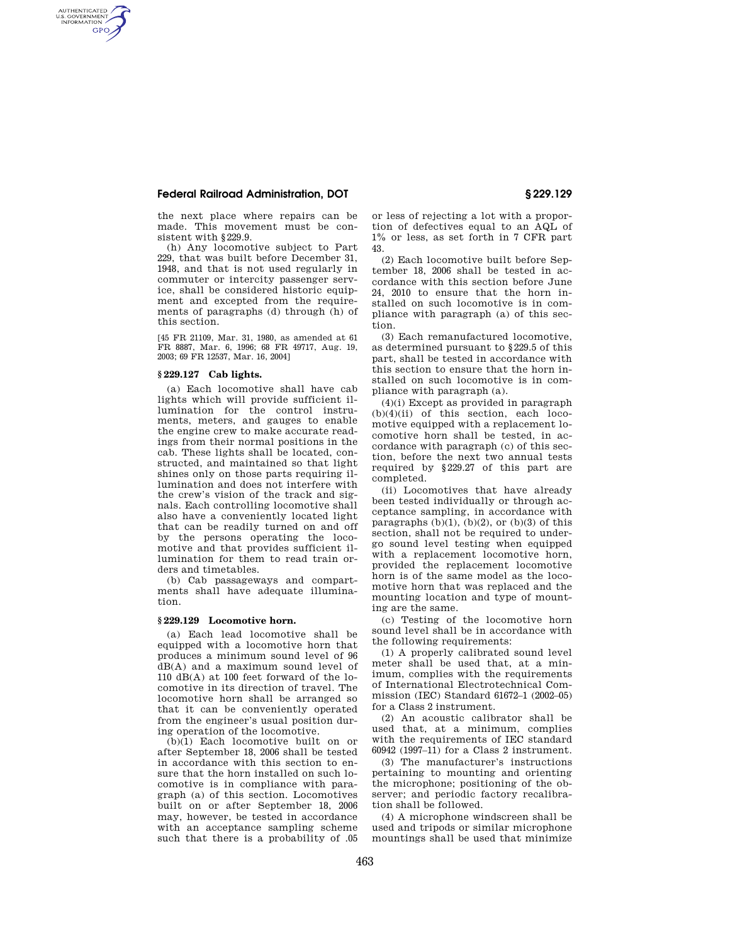## **Federal Railroad Administration, DOT § 229.129**

the next place where repairs can be made. This movement must be consistent with §229.9.

(h) Any locomotive subject to Part 229, that was built before December 31, 1948, and that is not used regularly in commuter or intercity passenger service, shall be considered historic equipment and excepted from the requirements of paragraphs (d) through (h) of this section.

[45 FR 21109, Mar. 31, 1980, as amended at 61 FR 8887, Mar. 6, 1996; 68 FR 49717, Aug. 19, 2003; 69 FR 12537, Mar. 16, 2004]

## **§ 229.127 Cab lights.**

AUTHENTICATED<br>U.S. GOVERNMENT<br>INFORMATION **GPO** 

> (a) Each locomotive shall have cab lights which will provide sufficient illumination for the control instruments, meters, and gauges to enable the engine crew to make accurate readings from their normal positions in the cab. These lights shall be located, constructed, and maintained so that light shines only on those parts requiring illumination and does not interfere with the crew's vision of the track and signals. Each controlling locomotive shall also have a conveniently located light that can be readily turned on and off by the persons operating the locomotive and that provides sufficient illumination for them to read train orders and timetables.

(b) Cab passageways and compartments shall have adequate illumination.

## **§ 229.129 Locomotive horn.**

(a) Each lead locomotive shall be equipped with a locomotive horn that produces a minimum sound level of 96 dB(A) and a maximum sound level of 110 dB(A) at 100 feet forward of the locomotive in its direction of travel. The locomotive horn shall be arranged so that it can be conveniently operated from the engineer's usual position during operation of the locomotive.

(b)(1) Each locomotive built on or after September 18, 2006 shall be tested in accordance with this section to ensure that the horn installed on such locomotive is in compliance with paragraph (a) of this section. Locomotives built on or after September 18, 2006 may, however, be tested in accordance with an acceptance sampling scheme such that there is a probability of .05

or less of rejecting a lot with a proportion of defectives equal to an AQL of 1% or less, as set forth in 7 CFR part 43.

(2) Each locomotive built before September 18, 2006 shall be tested in accordance with this section before June 24, 2010 to ensure that the horn installed on such locomotive is in compliance with paragraph (a) of this section.

(3) Each remanufactured locomotive, as determined pursuant to §229.5 of this part, shall be tested in accordance with this section to ensure that the horn installed on such locomotive is in compliance with paragraph (a).

 $(4)(i)$  Except as provided in paragraph (b)(4)(ii) of this section, each locomotive equipped with a replacement locomotive horn shall be tested, in accordance with paragraph (c) of this section, before the next two annual tests required by §229.27 of this part are completed.

(ii) Locomotives that have already been tested individually or through acceptance sampling, in accordance with paragraphs  $(b)(1)$ ,  $(b)(2)$ , or  $(b)(3)$  of this section, shall not be required to undergo sound level testing when equipped with a replacement locomotive horn, provided the replacement locomotive horn is of the same model as the locomotive horn that was replaced and the mounting location and type of mounting are the same.

(c) Testing of the locomotive horn sound level shall be in accordance with the following requirements:

(1) A properly calibrated sound level meter shall be used that, at a minimum, complies with the requirements of International Electrotechnical Commission (IEC) Standard 61672–1 (2002–05) for a Class 2 instrument.

(2) An acoustic calibrator shall be used that, at a minimum, complies with the requirements of IEC standard 60942 (1997–11) for a Class 2 instrument.

(3) The manufacturer's instructions pertaining to mounting and orienting the microphone; positioning of the observer; and periodic factory recalibration shall be followed.

(4) A microphone windscreen shall be used and tripods or similar microphone mountings shall be used that minimize